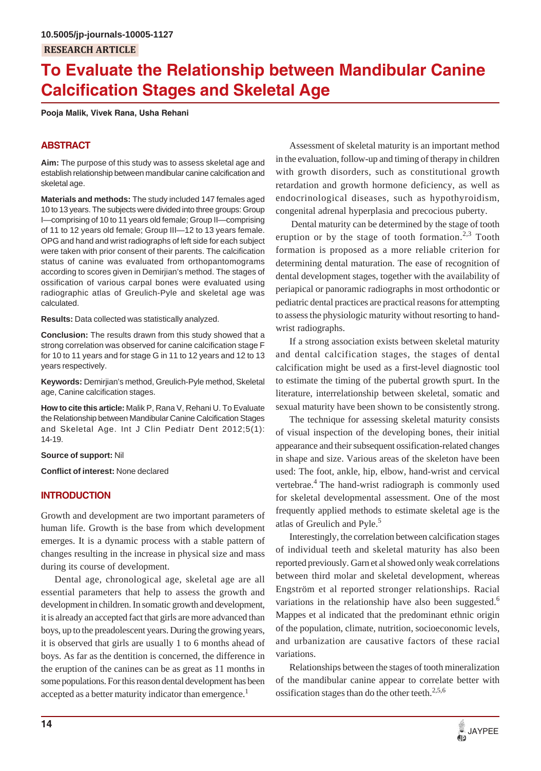# **To Evaluate the Relationship between Mandibular Canine Calcification Stages and Skeletal Age**

**Pooja Malik, Vivek Rana, Usha Rehani**

# **ABSTRACT**

**Aim:** The purpose of this study was to assess skeletal age and establish relationship between mandibular canine calcification and skeletal age.

**Materials and methods:** The study included 147 females aged 10 to 13 years. The subjects were divided into three groups: Group I—comprising of 10 to 11 years old female; Group II—comprising of 11 to 12 years old female; Group III—12 to 13 years female. OPG and hand and wrist radiographs of left side for each subject were taken with prior consent of their parents. The calcification status of canine was evaluated from orthopantomograms according to scores given in Demirjian's method. The stages of ossification of various carpal bones were evaluated using radiographic atlas of Greulich-Pyle and skeletal age was calculated.

**Results:** Data collected was statistically analyzed.

**Conclusion:** The results drawn from this study showed that a strong correlation was observed for canine calcification stage F for 10 to 11 years and for stage G in 11 to 12 years and 12 to 13 years respectively.

**Keywords:** Demirjian's method, Greulich-Pyle method, Skeletal age, Canine calcification stages.

**How to cite this article:** Malik P, Rana V, Rehani U. To Evaluate the Relationship between Mandibular Canine Calcification Stages and Skeletal Age. Int J Clin Pediatr Dent 2012;5(1): 14-19.

## **Source of support:** Nil

**Conflict of interest:** None declared

# **INTRODUCTION**

Growth and development are two important parameters of human life. Growth is the base from which development emerges. It is a dynamic process with a stable pattern of changes resulting in the increase in physical size and mass during its course of development.

Dental age, chronological age, skeletal age are all essential parameters that help to assess the growth and development in children. In somatic growth and development, it is already an accepted fact that girls are more advanced than boys, up to the preadolescent years. During the growing years, it is observed that girls are usually 1 to 6 months ahead of boys. As far as the dentition is concerned, the difference in the eruption of the canines can be as great as 11 months in some populations. For this reason dental development has been accepted as a better maturity indicator than emergence.<sup>1</sup>

Assessment of skeletal maturity is an important method in the evaluation, follow-up and timing of therapy in children with growth disorders, such as constitutional growth retardation and growth hormone deficiency, as well as endocrinological diseases, such as hypothyroidism, congenital adrenal hyperplasia and precocious puberty.

 Dental maturity can be determined by the stage of tooth eruption or by the stage of tooth formation.<sup>2,3</sup> Tooth formation is proposed as a more reliable criterion for determining dental maturation. The ease of recognition of dental development stages, together with the availability of periapical or panoramic radiographs in most orthodontic or pediatric dental practices are practical reasons for attempting to assess the physiologic maturity without resorting to handwrist radiographs.

If a strong association exists between skeletal maturity and dental calcification stages, the stages of dental calcification might be used as a first-level diagnostic tool to estimate the timing of the pubertal growth spurt. In the literature, interrelationship between skeletal, somatic and sexual maturity have been shown to be consistently strong.

The technique for assessing skeletal maturity consists of visual inspection of the developing bones, their initial appearance and their subsequent ossification-related changes in shape and size. Various areas of the skeleton have been used: The foot, ankle, hip, elbow, hand-wrist and cervical vertebrae.<sup>4</sup> The hand-wrist radiograph is commonly used for skeletal developmental assessment. One of the most frequently applied methods to estimate skeletal age is the atlas of Greulich and Pyle.<sup>5</sup>

Interestingly, the correlation between calcification stages of individual teeth and skeletal maturity has also been reported previously. Garn et al showed only weak correlations between third molar and skeletal development, whereas Engström et al reported stronger relationships. Racial variations in the relationship have also been suggested.<sup>6</sup> Mappes et al indicated that the predominant ethnic origin of the population, climate, nutrition, socioeconomic levels, and urbanization are causative factors of these racial variations.

Relationships between the stages of tooth mineralization of the mandibular canine appear to correlate better with ossification stages than do the other teeth.<sup>2,5,6</sup>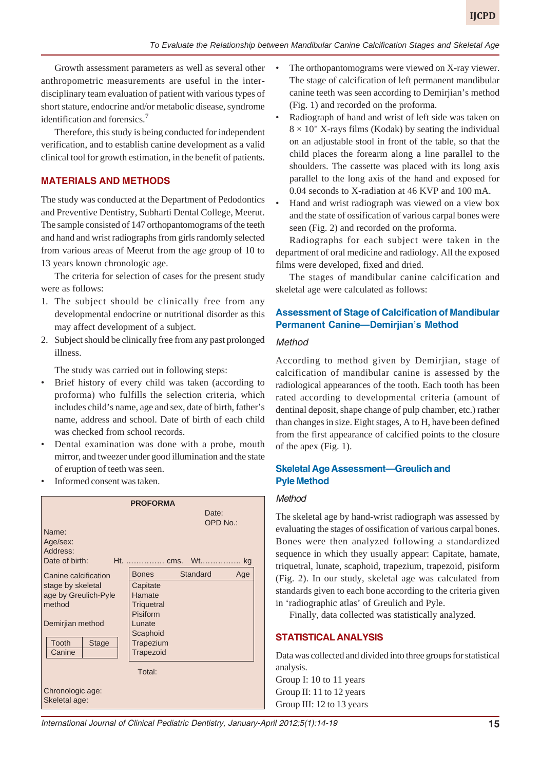Growth assessment parameters as well as several other anthropometric measurements are useful in the interdisciplinary team evaluation of patient with various types of short stature, endocrine and/or metabolic disease, syndrome identification and forensics.7

Therefore, this study is being conducted for independent verification, and to establish canine development as a valid clinical tool for growth estimation, in the benefit of patients.

# **MATERIALS AND METHODS**

The study was conducted at the Department of Pedodontics and Preventive Dentistry, Subharti Dental College, Meerut. The sample consisted of 147 orthopantomograms of the teeth and hand and wrist radiographs from girls randomly selected from various areas of Meerut from the age group of 10 to 13 years known chronologic age.

The criteria for selection of cases for the present study were as follows:

- 1. The subject should be clinically free from any developmental endocrine or nutritional disorder as this may affect development of a subject.
- 2. Subject should be clinically free from any past prolonged illness.

The study was carried out in following steps:

- Brief history of every child was taken (according to proforma) who fulfills the selection criteria, which includes child's name, age and sex, date of birth, father's name, address and school. Date of birth of each child was checked from school records.
- Dental examination was done with a probe, mouth mirror, and tweezer under good illumination and the state of eruption of teeth was seen.
- Informed consent was taken.

|                                   | <b>PROFORMA</b>   |                 |
|-----------------------------------|-------------------|-----------------|
|                                   |                   | Date:           |
|                                   |                   | OPD No.:        |
| Name:                             |                   |                 |
| Age/sex:                          |                   |                 |
| Address:                          |                   |                 |
| Date of birth:                    | Ht.  cms. Wt      | kg              |
| Canine calcification              | <b>Bones</b>      | Standard<br>Age |
| stage by skeletal                 | Capitate          |                 |
| age by Greulich-Pyle              | Hamate            |                 |
| method                            | <b>Triguetral</b> |                 |
|                                   | Pisiform          |                 |
| Demirjian method                  | Lunate            |                 |
|                                   | Scaphoid          |                 |
| Tooth<br><b>Stage</b>             | Trapezium         |                 |
| Canine                            | <b>Trapezoid</b>  |                 |
|                                   | Total:            |                 |
|                                   |                   |                 |
| Chronologic age:<br>Skeletal age: |                   |                 |

- The orthopantomograms were viewed on X-ray viewer. The stage of calcification of left permanent mandibular canine teeth was seen according to Demirjian's method (Fig. 1) and recorded on the proforma.
- Radiograph of hand and wrist of left side was taken on  $8 \times 10$ " X-rays films (Kodak) by seating the individual on an adjustable stool in front of the table, so that the child places the forearm along a line parallel to the shoulders. The cassette was placed with its long axis parallel to the long axis of the hand and exposed for 0.04 seconds to X-radiation at 46 KVP and 100 mA.
- Hand and wrist radiograph was viewed on a view box and the state of ossification of various carpal bones were seen (Fig. 2) and recorded on the proforma.

Radiographs for each subject were taken in the department of oral medicine and radiology. All the exposed films were developed, fixed and dried.

The stages of mandibular canine calcification and skeletal age were calculated as follows:

# **Assessment of Stage of Calcification of Mandibular Permanent Canine—Demirjian's Method**

#### *Method*

According to method given by Demirjian, stage of calcification of mandibular canine is assessed by the radiological appearances of the tooth. Each tooth has been rated according to developmental criteria (amount of dentinal deposit, shape change of pulp chamber, etc.) rather than changes in size. Eight stages, A to H, have been defined from the first appearance of calcified points to the closure of the apex (Fig. 1).

## **Skeletal Age Assessment—Greulich and Pyle Method**

## *Method*

The skeletal age by hand-wrist radiograph was assessed by evaluating the stages of ossification of various carpal bones. Bones were then analyzed following a standardized sequence in which they usually appear: Capitate, hamate, triquetral, lunate, scaphoid, trapezium, trapezoid, pisiform (Fig. 2). In our study, skeletal age was calculated from standards given to each bone according to the criteria given in 'radiographic atlas' of Greulich and Pyle.

Finally, data collected was statistically analyzed.

## **STATISTICAL ANALYSIS**

Data was collected and divided into three groups for statistical analysis.

Group I: 10 to 11 years Group II: 11 to 12 years Group III: 12 to 13 years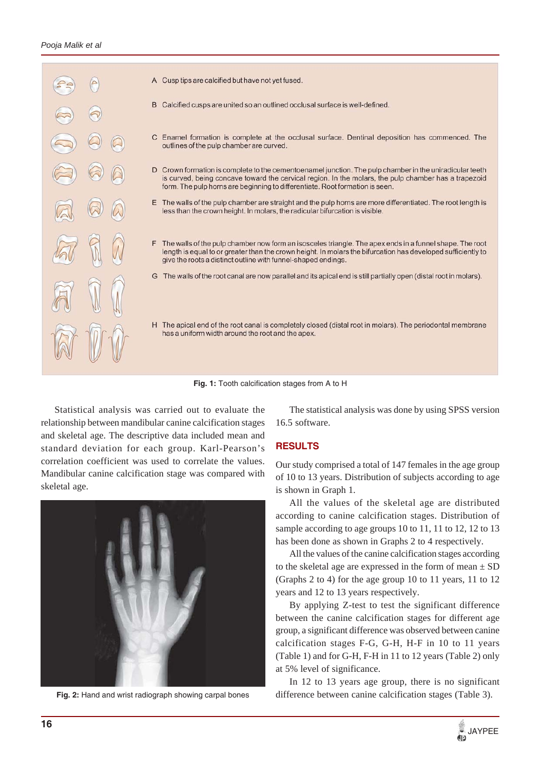

- A Cusp tips are calcified but have not yet fused.
- B Calcified cusps are united so an outlined occlusal surface is well-defined.
- C Enamel formation is complete at the occlusal surface. Dentinal deposition has commenced. The outlines of the pulp chamber are curved.
- D Crown formation is complete to the cementoenamel junction. The pulp chamber in the uniradicular teeth is curved, being concave toward the cervical region. In the molars, the pulp chamber has a trapezoid form. The pulp horns are beginning to differentiate. Root formation is seen.
- E The walls of the pulp chamber are straight and the pulp horns are more differentiated. The root length is less than the crown height. In molars, the radicular bifurcation is visible.
- F The walls of the pulp chamber now form an isosceles triangle. The apex ends in a funnel shape. The root length is equal to or greater than the crown height. In molars the bifurcation has developed sufficiently to give the roots a distinct outline with funnel-shaped endings.
- G The walls of the root canal are now parallel and its apical end is still partially open (distal root in molars).
- H The apical end of the root canal is completely closed (distal root in molars). The periodontal membrane has a uniform width around the root and the apex.

**Fig. 1:** Tooth calcification stages from A to H

Statistical analysis was carried out to evaluate the relationship between mandibular canine calcification stages and skeletal age. The descriptive data included mean and standard deviation for each group. Karl-Pearson's correlation coefficient was used to correlate the values. Mandibular canine calcification stage was compared with skeletal age.



**Fig. 2:** Hand and wrist radiograph showing carpal bones

The statistical analysis was done by using SPSS version 16.5 software.

## **RESULTS**

Our study comprised a total of 147 females in the age group of 10 to 13 years. Distribution of subjects according to age is shown in Graph 1.

All the values of the skeletal age are distributed according to canine calcification stages. Distribution of sample according to age groups 10 to 11, 11 to 12, 12 to 13 has been done as shown in Graphs 2 to 4 respectively.

All the values of the canine calcification stages according to the skeletal age are expressed in the form of mean  $\pm$  SD (Graphs 2 to 4) for the age group 10 to 11 years, 11 to 12 years and 12 to 13 years respectively.

By applying Z-test to test the significant difference between the canine calcification stages for different age group, a significant difference was observed between canine calcification stages F-G, G-H, H-F in 10 to 11 years (Table 1) and for G-H, F-H in 11 to 12 years (Table 2) only at 5% level of significance.

In 12 to 13 years age group, there is no significant difference between canine calcification stages (Table 3).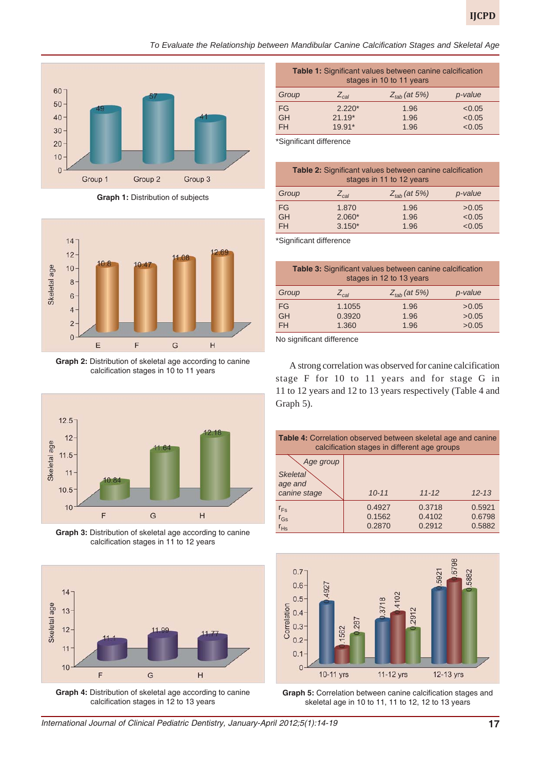*To Evaluate the Relationship between Mandibular Canine Calcification Stages and Skeletal Age*



**Graph 1:** Distribution of subjects



**Graph 2:** Distribution of skeletal age according to canine calcification stages in 10 to 11 years



**Graph 3:** Distribution of skeletal age according to canine calcification stages in 11 to 12 years



**Graph 4:** Distribution of skeletal age according to canine calcification stages in 12 to 13 years

| <b>Table 1:</b> Significant values between canine calcification<br>stages in 10 to 11 years |           |                          |         |
|---------------------------------------------------------------------------------------------|-----------|--------------------------|---------|
| Group                                                                                       | $Z_{cal}$ | $Z_{\text{tab}}$ (at 5%) | p-value |
| <b>FG</b>                                                                                   | $2.220*$  | 1.96                     | < 0.05  |
| <b>GH</b>                                                                                   | $21.19*$  | 1.96                     | < 0.05  |
| <b>FH</b>                                                                                   | 19.91*    | 1.96                     | < 0.05  |

\*Significant difference

| Table 2: Significant values between canine calcification<br>stages in 11 to 12 years |                         |                          |         |
|--------------------------------------------------------------------------------------|-------------------------|--------------------------|---------|
| Group                                                                                | $\angle$ <sub>cal</sub> | $Z_{\text{tab}}$ (at 5%) | p-value |
| FG                                                                                   | 1.870                   | 1.96                     | >0.05   |
| <b>GH</b>                                                                            | $2.060*$                | 1.96                     | < 0.05  |
| <b>FH</b>                                                                            | $3.150*$                | 1.96                     | < 0.05  |

\*Significant difference

| <b>Table 3:</b> Significant values between canine calcification<br>stages in 12 to 13 years |                    |                          |         |
|---------------------------------------------------------------------------------------------|--------------------|--------------------------|---------|
| Group                                                                                       | $\angle_{\rm cal}$ | $Z_{\text{tab}}$ (at 5%) | p-value |
| FG                                                                                          | 1.1055             | 1.96                     | >0.05   |
| <b>GH</b>                                                                                   | 0.3920             | 1.96                     | >0.05   |
| <b>FH</b>                                                                                   | 1.360              | 1.96                     | >0.05   |

No significant difference

A strong correlation was observed for canine calcification stage F for 10 to 11 years and for stage G in 11 to 12 years and 12 to 13 years respectively (Table 4 and Graph 5).

| <b>Table 4:</b> Correlation observed between skeletal age and canine<br>calcification stages in different age groups |                            |                            |                            |
|----------------------------------------------------------------------------------------------------------------------|----------------------------|----------------------------|----------------------------|
| Age group<br><b>Skeletal</b><br>age and                                                                              |                            |                            |                            |
| canine stage                                                                                                         | $10 - 11$                  | $11 - 12$                  | $12 - 13$                  |
| $r_{Fs}$<br>$r_{\text{Gs}}$<br>$r_{Hs}$                                                                              | 0.4927<br>0.1562<br>0.2870 | 0.3718<br>0.4102<br>0.2912 | 0.5921<br>0.6798<br>0.5882 |



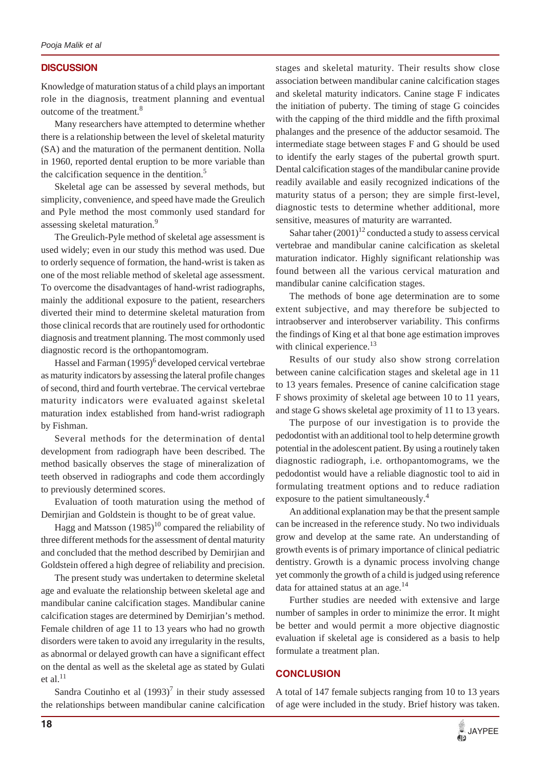## **DISCUSSION**

Knowledge of maturation status of a child plays an important role in the diagnosis, treatment planning and eventual outcome of the treatment.<sup>8</sup>

Many researchers have attempted to determine whether there is a relationship between the level of skeletal maturity (SA) and the maturation of the permanent dentition. Nolla in 1960, reported dental eruption to be more variable than the calcification sequence in the dentition.<sup>5</sup>

Skeletal age can be assessed by several methods, but simplicity, convenience, and speed have made the Greulich and Pyle method the most commonly used standard for assessing skeletal maturation.<sup>9</sup>

The Greulich-Pyle method of skeletal age assessment is used widely; even in our study this method was used. Due to orderly sequence of formation, the hand-wrist is taken as one of the most reliable method of skeletal age assessment. To overcome the disadvantages of hand-wrist radiographs, mainly the additional exposure to the patient, researchers diverted their mind to determine skeletal maturation from those clinical records that are routinely used for orthodontic diagnosis and treatment planning. The most commonly used diagnostic record is the orthopantomogram.

Hassel and Farman (1995)<sup>6</sup> developed cervical vertebrae as maturity indicators by assessing the lateral profile changes of second, third and fourth vertebrae. The cervical vertebrae maturity indicators were evaluated against skeletal maturation index established from hand-wrist radiograph by Fishman.

Several methods for the determination of dental development from radiograph have been described. The method basically observes the stage of mineralization of teeth observed in radiographs and code them accordingly to previously determined scores.

Evaluation of tooth maturation using the method of Demirjian and Goldstein is thought to be of great value.

Hagg and Matsson  $(1985)^{10}$  compared the reliability of three different methods for the assessment of dental maturity and concluded that the method described by Demirjian and Goldstein offered a high degree of reliability and precision.

The present study was undertaken to determine skeletal age and evaluate the relationship between skeletal age and mandibular canine calcification stages. Mandibular canine calcification stages are determined by Demirjian's method. Female children of age 11 to 13 years who had no growth disorders were taken to avoid any irregularity in the results, as abnormal or delayed growth can have a significant effect on the dental as well as the skeletal age as stated by Gulati et al. $^{11}$ 

Sandra Coutinho et al  $(1993)^7$  in their study assessed the relationships between mandibular canine calcification stages and skeletal maturity. Their results show close association between mandibular canine calcification stages and skeletal maturity indicators. Canine stage F indicates the initiation of puberty. The timing of stage G coincides with the capping of the third middle and the fifth proximal phalanges and the presence of the adductor sesamoid. The intermediate stage between stages F and G should be used to identify the early stages of the pubertal growth spurt. Dental calcification stages of the mandibular canine provide readily available and easily recognized indications of the maturity status of a person; they are simple first-level, diagnostic tests to determine whether additional, more sensitive, measures of maturity are warranted.

Sahar taher  $(2001)^{12}$  conducted a study to assess cervical vertebrae and mandibular canine calcification as skeletal maturation indicator. Highly significant relationship was found between all the various cervical maturation and mandibular canine calcification stages.

The methods of bone age determination are to some extent subjective, and may therefore be subjected to intraobserver and interobserver variability. This confirms the findings of King et al that bone age estimation improves with clinical experience.<sup>13</sup>

Results of our study also show strong correlation between canine calcification stages and skeletal age in 11 to 13 years females. Presence of canine calcification stage F shows proximity of skeletal age between 10 to 11 years, and stage G shows skeletal age proximity of 11 to 13 years.

The purpose of our investigation is to provide the pedodontist with an additional tool to help determine growth potential in the adolescent patient. By using a routinely taken diagnostic radiograph, i.e. orthopantomograms, we the pedodontist would have a reliable diagnostic tool to aid in formulating treatment options and to reduce radiation exposure to the patient simultaneously.4

An additional explanation may be that the present sample can be increased in the reference study. No two individuals grow and develop at the same rate. An understanding of growth events is of primary importance of clinical pediatric dentistry. Growth is a dynamic process involving change yet commonly the growth of a child is judged using reference data for attained status at an age. $^{14}$ 

Further studies are needed with extensive and large number of samples in order to minimize the error. It might be better and would permit a more objective diagnostic evaluation if skeletal age is considered as a basis to help formulate a treatment plan.

# **CONCLUSION**

A total of 147 female subjects ranging from 10 to 13 years of age were included in the study. Brief history was taken.